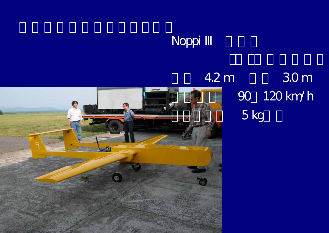## Noppi

## **CA** ٨ 6

## 4.2 m 3.0 m 90~120 km/h

5 kg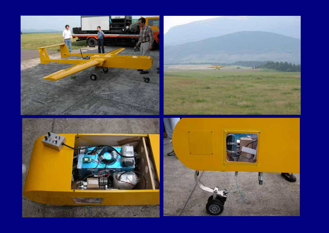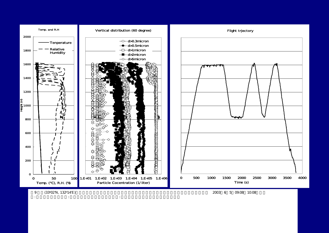

(33°02'N, 132°14'E)  $\boldsymbol{9}$ 

 $\ddot{\cdot}$  $\mathbf{r}$  $\pm$  2003 6 5 09:08 10:08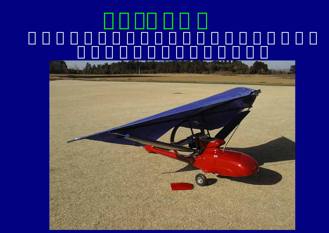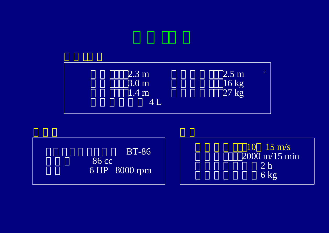| $2.3 \text{ m}$    | 2.5 <sub>m</sub> | $\overline{2}$ |
|--------------------|------------------|----------------|
| $\overline{3.0}$ m | $16 \text{ kg}$  |                |
| 1.4 <sub>m</sub>   | $\sqrt{27}$ kg   |                |
| 4 L                |                  |                |
|                    |                  |                |

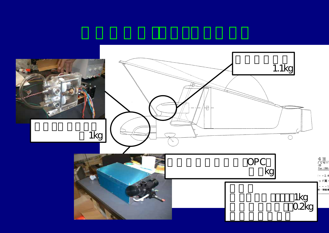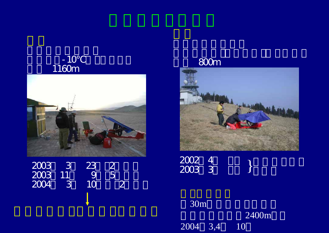

## $2003$  3 23 2<br> $2003$  3 3 2003 3  $3 \t 3 \t 23 \t 2 \t 2003 \t 3$ 2003<br>2003 11<br>2004 3 . 3 10 2

800m



2002年

30m 2400m 2004 3,4 10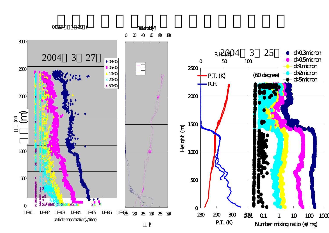